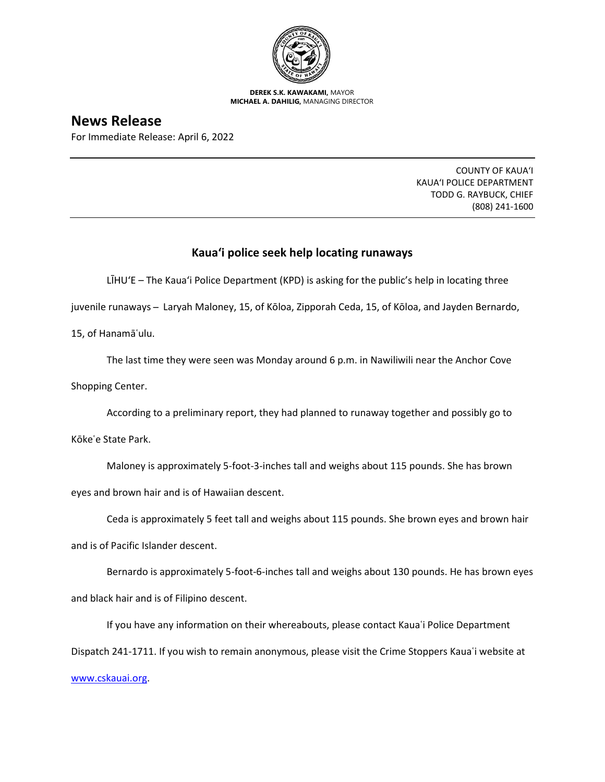

**DEREK S.K. KAWAKAMI,** MAYOR **MICHAEL A. DAHILIG,** MANAGING DIRECTOR

## **News Release**

For Immediate Release: April 6, 2022

COUNTY OF KAUA'I KAUA'I POLICE DEPARTMENT TODD G. RAYBUCK, CHIEF (808) 241-1600

## **Kaua'i police seek help locating runaways**

LĪHU'E – The Kaua'i Police Department (KPD) is asking for the public's help in locating three

juvenile runaways ̶ Laryah Maloney, 15, of Kōloa, Zipporah Ceda, 15, of Kōloa, and Jayden Bernardo,

15, of Hanamāʿulu.

The last time they were seen was Monday around 6 p.m. in Nawiliwili near the Anchor Cove Shopping Center.

According to a preliminary report, they had planned to runaway together and possibly go to

Kōkeʿe State Park.

Maloney is approximately 5-foot-3-inches tall and weighs about 115 pounds. She has brown eyes and brown hair and is of Hawaiian descent.

Ceda is approximately 5 feet tall and weighs about 115 pounds. She brown eyes and brown hair and is of Pacific Islander descent.

Bernardo is approximately 5-foot-6-inches tall and weighs about 130 pounds. He has brown eyes and black hair and is of Filipino descent.

If you have any information on their whereabouts, please contact Kauaʿi Police Department Dispatch 241-1711. If you wish to remain anonymous, please visit the Crime Stoppers Kauaʿi website at [www.cskauai.org.](http://www.cskauai.org/)